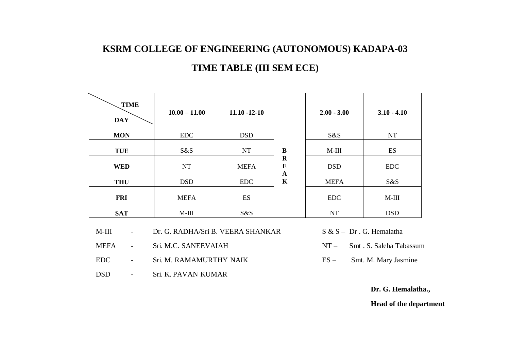## **KSRM COLLEGE OF ENGINEERING (AUTONOMOUS) KADAPA-03 TIME TABLE (III SEM ECE)**

| <b>TIME</b> |                 |                   |                                                     |               |               |
|-------------|-----------------|-------------------|-----------------------------------------------------|---------------|---------------|
| <b>DAY</b>  | $10.00 - 11.00$ | $11.10 - 12 - 10$ |                                                     | $2.00 - 3.00$ | $3.10 - 4.10$ |
| <b>MON</b>  | <b>EDC</b>      | <b>DSD</b>        | B<br>$\mathbf R$<br>E<br>$\mathbf A$<br>$\mathbf K$ | S&S           | <b>NT</b>     |
| <b>TUE</b>  | S&S             | <b>NT</b>         |                                                     | $M-III$       | ES            |
| <b>WED</b>  | NT              | <b>MEFA</b>       |                                                     | <b>DSD</b>    | <b>EDC</b>    |
| <b>THU</b>  | <b>DSD</b>      | <b>EDC</b>        |                                                     | <b>MEFA</b>   | S&S           |
| <b>FRI</b>  | <b>MEFA</b>     | ES                |                                                     | <b>EDC</b>    | $M-III$       |
| <b>SAT</b>  | $M-III$         | S&S               |                                                     | <b>NT</b>     | <b>DSD</b>    |

- M-III Dr. G. RADHA/Sri B. VEERA SHANKAR S & S Dr. G. Hemalatha
- MEFA Sri. M.C. SANEEVAIAH NT Smt. S. Saleha Tabassum
- EDC Sri. M. RAMAMURTHY NAIK ES Smt. M. Mary Jasmine
- DSD Sri. K. PAVAN KUMAR
- 
- 
- 

**Dr. G. Hemalatha.,** 

**Head of the department**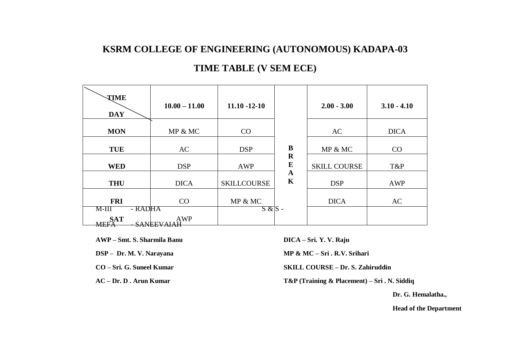## **KSRM COLLEGE OF ENGINEERING (AUTONOMOUS) KADAPA-03 TIME TABLE (V SEM ECE)**

| <b>TIME</b>               | $10.00 - 11.00$   | $11.10 - 12 - 10$  |                            | $2.00 - 3.00$       | $3.10 - 4.10$ |
|---------------------------|-------------------|--------------------|----------------------------|---------------------|---------------|
| <b>DAY</b>                |                   |                    |                            |                     |               |
| <b>MON</b>                | MP & MC           | CO                 |                            | AC                  | <b>DICA</b>   |
| <b>TUE</b>                | AC                | <b>DSP</b>         | B                          | MP & MC             | CO            |
| <b>WED</b>                | <b>DSP</b>        | AWP                | $\mathbf R$<br>$\bf{E}$    | <b>SKILL COURSE</b> | T&P           |
| <b>THU</b>                | <b>DICA</b>       | <b>SKILLCOURSE</b> | $\mathbf A$<br>$\mathbf K$ | <b>DSP</b>          | <b>AWP</b>    |
| <b>FRI</b>                | CO                | MP & MC            |                            | <b>DICA</b>         | AC            |
| - RADHA<br>M-III          |                   | $S & S -$          |                            |                     |               |
| <b>SAT</b><br><b>MEFA</b> | AWP<br>SANEEVAIAH |                    |                            |                     |               |

**AWP – Smt. S. Sharmila Banu DICA – Sri. Y. V. Raju**

 **DSP – Dr. M. V. Narayana MP & MC – Sri . R.V. Srihari**

**CO – Sri. G. Suneel Kumar SKILL COURSE – Dr. S. Zahiruddin**

**AC – Dr. D . Arun Kumar T&P (Training & Placement) – Sri . N. Siddiq**

**Dr. G. Hemalatha.,**

**Head of the Department**